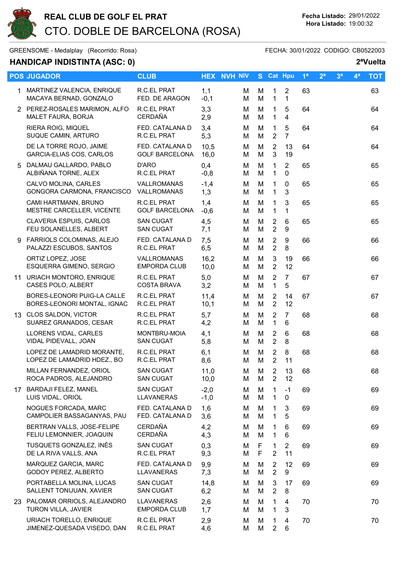

GREENSOME - Medalplay (Recorrido: Rosa) GREENSOME - FECHA: 30/01/2022 CODIGO: CB0522003

## HANDICAP INDISTINTA (ASC: 0) 2ªVuelta

|   | <b>POS JUGADOR</b>                                         | <b>CLUB</b>                              | <b>HEX</b>       | <b>NVH NIV</b> |        | S Cat Hpu                        |                                  | 1 <sup>a</sup> | 2 <sup>a</sup> | 3 <sup>a</sup> | 4 <sup>a</sup> | <b>TOT</b> |
|---|------------------------------------------------------------|------------------------------------------|------------------|----------------|--------|----------------------------------|----------------------------------|----------------|----------------|----------------|----------------|------------|
|   | 1 MARTINEZ VALENCIA, ENRIQUE<br>MACAYA BERNAD, GONZALO     | R.C.EL PRAT<br>FED. DE ARAGON            | 1,1<br>$-0,1$    | M<br>M         | M<br>M | 1<br>$\mathbf{1}$                | $\overline{2}$<br>$\mathbf{1}$   | 63             |                |                |                | 63         |
|   | 2 PEREZ-ROSALES MARIMON, ALFO<br>MALET FAURA, BORJA        | R.C.EL PRAT<br><b>CERDAÑA</b>            | 3,3<br>2,9       | M<br>м         | M<br>M | 1<br>1                           | 5<br>$\overline{4}$              | 64             |                |                |                | 64         |
|   | RIERA ROIG, MIQUEL<br>SUQUE CAMIN, ARTURO                  | FED. CATALANA D<br>R.C.EL PRAT           | 3,4<br>5,3       | м<br>M         | M<br>M | 1<br>$\overline{2}$              | $\sqrt{5}$<br>$\overline{7}$     | 64             |                |                |                | 64         |
|   | DE LA TORRE ROJO, JAIME<br>GARCIA-ELIAS COS, CARLOS        | FED. CATALANA D<br><b>GOLF BARCELONA</b> | 10,5<br>16,0     | м<br>м         | M<br>M | $\overline{2}$<br>3              | 13<br>19                         | 64             |                |                |                | 64         |
| 5 | DALMAU GALLARDO, PABLO<br>ALBIÑANA TORNE, ALEX             | D'ARO<br>R.C.EL PRAT                     | 0,4<br>$-0,8$    | м<br>М         | M<br>M | 1<br>1                           | $\overline{2}$<br>0              | 65             |                |                |                | 65         |
|   | CALVO MOLINA, CARLES<br>GONGORA CARMONA, FRANCISCO         | VALLROMANAS<br>VALLROMANAS               | $-1,4$<br>1,3    | M<br>м         | M<br>M | 1<br>$\mathbf 1$                 | 0<br>3                           | 65             |                |                |                | 65         |
|   | CAMI HARTMANN, BRUNO<br>MESTRE CARCELLER, VICENTE          | R.C.EL PRAT<br><b>GOLF BARCELONA</b>     | 1,4<br>$-0,6$    | м<br>M         | M<br>M | 1<br>1                           | 3<br>$\mathbf 1$                 | 65             |                |                |                | 65         |
|   | CLAVERIA ESPUIS, CARLOS<br>FEU SOLANELLES, ALBERT          | <b>SAN CUGAT</b><br><b>SAN CUGAT</b>     | 4,5<br>7,1       | м<br>м         | M<br>M | $\overline{2}$<br>$\overline{2}$ | 6<br>$\boldsymbol{9}$            | 65             |                |                |                | 65         |
|   | 9 FARRIOLS COLOMINAS, ALEJO<br>PALAZZI ESCUBOS, SANTOS     | FED. CATALANA D<br>R.C.EL PRAT           | 7,5<br>6,5       | M<br>м         | M<br>M | $\overline{2}$<br>$\overline{2}$ | 9<br>8                           | 66             |                |                |                | 66         |
|   | ORTIZ LOPEZ, JOSE<br>ESQUERRA GIMENO, SERGIO               | VALLROMANAS<br><b>EMPORDA CLUB</b>       | 16,2<br>10,0     | м<br>м         | M<br>M | 3<br>$\overline{2}$              | 19<br>12                         | 66             |                |                |                | 66         |
|   | 11 URIACH MONTORO, ENRIQUE<br>CASES POLO, ALBERT           | R.C.EL PRAT<br><b>COSTA BRAVA</b>        | 5,0<br>3,2       | м<br>M         | M<br>M | $\overline{2}$<br>$\mathbf{1}$   | $\overline{7}$<br>5              | 67             |                |                |                | 67         |
|   | BORES-LEONORI PUIG-LA CALLE<br>BORES-LEONORI MONTAL, IGNAC | R.C.EL PRAT<br>R.C.EL PRAT               | 11,4<br>10,1     | м<br>м         | M<br>M | 2<br>2                           | 14<br>12                         | 67             |                |                |                | 67         |
|   | 13 CLOS SALDON, VICTOR<br>SUAREZ GRANADOS, CESAR           | R.C.EL PRAT<br>R.C.EL PRAT               | 5,7<br>4,2       | м<br>м         | M<br>M | $\overline{2}$<br>1              | $\overline{7}$<br>$6\phantom{1}$ | 68             |                |                |                | 68         |
|   | LLORENS VIDAL, CARLES<br>VIDAL PIDEVALL, JOAN              | MONTBRU-MOIA<br><b>SAN CUGAT</b>         | 4,1<br>5,8       | м<br>м         | M<br>M | 2<br>$\overline{2}$              | 6<br>8                           | 68             |                |                |                | 68         |
|   | LOPEZ DE LAMADRID MORANTE,<br>LOPEZ DE LAMADRID HDEZ., BO  | R.C.EL PRAT<br>R.C.EL PRAT               | 6,1<br>8,6       | м<br>м         | M<br>M | $\overline{2}$<br>$\overline{2}$ | 8<br>11                          | 68             |                |                |                | 68         |
|   | MILLAN FERNANDEZ. ORIOL<br>ROCA PADROS, ALEJANDRO          | <b>SAN CUGAT</b><br><b>SAN CUGAT</b>     | 11,0<br>10,0     | M<br>м         | M<br>М | 2<br>$\overline{2}$              | 13<br>12                         | 68             |                |                |                | 68         |
|   | 17 BARDAJI FELEZ, MANEL<br>LUIS VIDAL, ORIOL               | <b>SAN CUGAT</b><br>LLAVANERAS           | $-2,0$<br>$-1,0$ | м<br>M         | M<br>M | 1.<br>$\mathbf{1}$               | $-1$<br>0                        | 69             |                |                |                | 69         |
|   | NOGUES FORCADA, MARC<br>CAMPOLIER BASSAGANYAS, PAU         | FED. CATALANA D<br>FED. CATALANA D       | 1,6<br>3,6       | м<br>м         | М<br>M | 1<br>1                           | 3<br>5                           | 69             |                |                |                | 69         |
|   | BERTRAN VALLS, JOSE-FELIPE<br>FELIU LEMONNIER, JOAQUIN     | <b>CERDAÑA</b><br><b>CERDAÑA</b>         | 4,2<br>4,3       | м<br>M         | М<br>M | 1<br>1                           | 6<br>6                           | 69             |                |                |                | 69         |
|   | TUSQUETS GONZALEZ, INÉS<br>DE LA RIVA VALLS, ANA           | <b>SAN CUGAT</b><br>R.C.EL PRAT          | 0,3<br>9,3       | M<br>M         | F<br>F | 1<br>$\overline{2}$              | $\overline{2}$<br>11             | 69             |                |                |                | 69         |
|   | MARQUEZ GARCIA, MARC<br>GODOY PEREZ, ALBERTO               | FED. CATALANA D<br>LLAVANERAS            | 9,9<br>7,3       | м<br>м         | M<br>M | 2<br>2                           | 12<br>9                          | 69             |                |                |                | 69         |
|   | PORTABELLA MOLINA, LUCAS<br>SALLENT TONIJUAN, XAVIER       | <b>SAN CUGAT</b><br><b>SAN CUGAT</b>     | 14,8<br>6,2      | м<br>м         | М<br>M | 3<br>$\overline{2}$              | 17<br>8                          | 69             |                |                |                | 69         |
|   | 23 PALOMAR ORRIOLS, ALEJANDRO<br>TURON VILLA, JAVIER       | LLAVANERAS<br><b>EMPORDA CLUB</b>        | 2,6<br>1,7       | м<br>м         | M<br>M | 1.<br>$\mathbf{1}$               | 4<br>3                           | 70             |                |                |                | 70         |
|   | URIACH TORELLO, ENRIQUE<br>JIMENEZ-QUESADA VISEDO, DAN     | R.C.EL PRAT<br>R.C.EL PRAT               | 2,9<br>4,6       | м<br>М         | м<br>М | 1.<br>$\overline{2}$             | 4<br>$\,6$                       | 70             |                |                |                | 70         |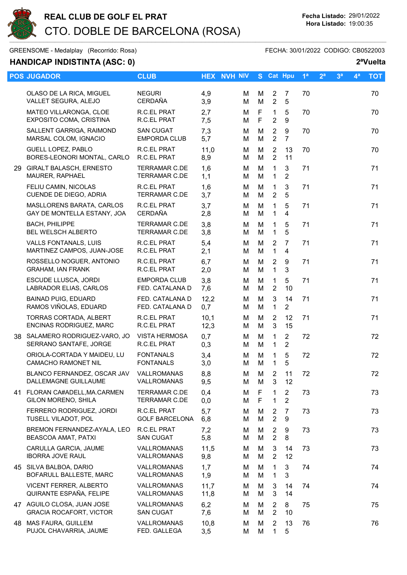

GREENSOME - Medalplay (Recorrido: Rosa) GREENSOME - FECHA: 30/01/2022 CODIGO: CB0522003

## HANDICAP INDISTINTA (ASC: 0) 2<sup>a</sup>Vuelta

|    | <b>POS JUGADOR</b>                                              | <b>CLUB</b>                                  |              | <b>HEX NVH NIV</b> |        | S Cat Hpu                        |                                    | 1 <sup>a</sup> | 2 <sup>a</sup> | 3 <sup>a</sup> | $4^a$ | <b>TOT</b> |
|----|-----------------------------------------------------------------|----------------------------------------------|--------------|--------------------|--------|----------------------------------|------------------------------------|----------------|----------------|----------------|-------|------------|
|    | OLASO DE LA RICA, MIGUEL<br>VALLET SEGURA, ALEJO                | <b>NEGURI</b><br><b>CERDAÑA</b>              | 4,9<br>3,9   | м<br>М             | M<br>M | 2<br>$\overline{2}$              | 7<br>5                             | 70             |                |                |       | 70         |
|    | MATEO VILLARONGA, CLOE<br>EXPOSITO COMA, CRISTINA               | R.C.EL PRAT<br>R.C.EL PRAT                   | 2,7<br>7,5   | м<br>м             | F<br>F | 1<br>$\overline{2}$              | 5<br>9                             | 70             |                |                |       | 70         |
|    | SALLENT GARRIGA, RAIMOND<br>MARSAL COLOM, IGNACIO               | <b>SAN CUGAT</b><br><b>EMPORDA CLUB</b>      | 7,3<br>5,7   | м<br>М             | M<br>M | $\overline{2}$<br>$\overline{2}$ | $\boldsymbol{9}$<br>$\overline{7}$ | 70             |                |                |       | 70         |
|    | <b>GUELL LOPEZ, PABLO</b><br>BORES-LEONORI MONTAL, CARLO        | R.C.EL PRAT<br>R.C.EL PRAT                   | 11,0<br>8,9  | м<br>м             | M<br>M | 2<br>$\overline{2}$              | 13<br>11                           | 70             |                |                |       | 70         |
|    | 29 GIRALT BALASCH, ERNESTO<br>MAURER, RAPHAEL                   | <b>TERRAMAR C.DE</b><br><b>TERRAMAR C.DE</b> | 1,6<br>1,1   | М<br>м             | M<br>M | $\mathbf{1}$<br>$\mathbf{1}$     | 3<br>$\overline{2}$                | 71             |                |                |       | 71         |
|    | FELIU CAMIN, NICOLAS<br>CUENDE DE DIEGO, ADRIA                  | R.C.EL PRAT<br>TERRAMAR C.DE                 | 1,6<br>3,7   | м<br>м             | M<br>M | $\mathbf{1}$<br>$\overline{2}$   | 3<br>5                             | 71             |                |                |       | 71         |
|    | MASLLORENS BARATA, CARLOS<br>GAY DE MONTELLA ESTANY, JOA        | R.C.EL PRAT<br><b>CERDAÑA</b>                | 3,7<br>2,8   | м<br>м             | M<br>M | 1<br>$\mathbf{1}$                | 5<br>$\overline{4}$                | 71             |                |                |       | 71         |
|    | <b>BACH, PHILIPPE</b><br>BEL WELSCH ALBERTO                     | <b>TERRAMAR C.DE</b><br><b>TERRAMAR C.DE</b> | 3,8<br>3,8   | м<br>м             | M<br>M | $\mathbf 1$<br>1                 | 5<br>5                             | 71             |                |                |       | 71         |
|    | <b>VALLS FONTANALS, LUIS</b><br>MARTINEZ CAMPOS, JUAN-JOSE      | R.C.EL PRAT<br>R.C.EL PRAT                   | 5,4<br>2,1   | м<br>м             | M<br>M | 2<br>$\mathbf{1}$                | 7<br>$\overline{4}$                | 71             |                |                |       | 71         |
|    | ROSSELLO NOGUER, ANTONIO<br><b>GRAHAM, IAN FRANK</b>            | R.C.EL PRAT<br>R.C.EL PRAT                   | 6,7<br>2,0   | м<br>М             | M<br>M | $\overline{2}$<br>$\mathbf{1}$   | 9<br>3                             | 71             |                |                |       | 71         |
|    | ESCUDE LLUSCA, JORDI<br>LABRADOR ELIAS, CARLOS                  | <b>EMPORDA CLUB</b><br>FED. CATALANA D       | 3,8<br>7,6   | м<br>м             | M<br>М | 1<br>$\overline{2}$              | 5<br>10                            | 71             |                |                |       | 71         |
|    | <b>BAINAD PUIG, EDUARD</b><br>RAMOS VIÑOLAS, EDUARD             | FED. CATALANA D<br>FED. CATALANA D           | 12,2<br>0,7  | M<br>М             | M<br>M | 3<br>$\mathbf{1}$                | 14<br>$\overline{2}$               | 71             |                |                |       | 71         |
|    | TORRAS CORTADA, ALBERT<br>ENCINAS RODRIGUEZ, MARC               | R.C.EL PRAT<br>R.C.EL PRAT                   | 10,1<br>12,3 | м<br>м             | M<br>M | 2<br>3                           | 12<br>15                           | 71             |                |                |       | 71         |
|    | 38 SALAMERO RODRIGUEZ-VARO, JO<br>SERRANO SANTAFE, JORGE        | <b>VISTA HERMOSA</b><br>R.C.EL PRAT          | 0,7<br>0,3   | м<br>м             | M<br>M | 1<br>$\mathbf{1}$                | $\overline{2}$<br>$\overline{2}$   | 72             |                |                |       | 72         |
|    | ORIOLA-CORTADA Y MAIDEU, LU<br><b>CAMACHO RAMONET NIL</b>       | <b>FONTANALS</b><br><b>FONTANALS</b>         | 3,4<br>3,0   | м<br>м             | M<br>M | $\mathbf{1}$<br>1                | 5<br>5                             | 72             |                |                |       | 72         |
|    | BLANCO FERNANDEZ, OSCAR JAV VALLROMANAS<br>DALLEMAGNE GUILLAUME | VALLROMANAS                                  | 8,8<br>9,5   | M<br>м             | M<br>M | $\overline{2}$<br>3              | 11<br>12                           | 72             |                |                |       | 72         |
| 41 | FLORAN CA#ADELL, MA.CARMEN<br>GILON MORENO, SHILA               | TERRAMAR C.DE<br><b>TERRAMAR C.DE</b>        | 0,4<br>0,0   | M<br>м             | F<br>F | 1<br>$\mathbf 1$                 | $\overline{2}$<br>$\overline{2}$   | 73             |                |                |       | 73         |
|    | FERRERO RODRIGUEZ, JORDI<br>TUSELL VILADOT, POL                 | R.C.EL PRAT<br><b>GOLF BARCELONA</b>         | 5,7<br>6,8   | м<br>м             | M<br>M | $\overline{c}$<br>$\overline{2}$ | 7<br>9                             | 73             |                |                |       | 73         |
|    | BREMON FERNANDEZ-AYALA, LEO<br>BEASCOA AMAT, PATXI              | R.C.EL PRAT<br><b>SAN CUGAT</b>              | 7,2<br>5,8   | м<br>м             | M<br>M | $\overline{2}$<br>$\sqrt{2}$     | 9<br>8                             | 73             |                |                |       | 73         |
|    | CARULLA GARCIA, JAUME<br><b>IBORRA JOVE RAUL</b>                | VALLROMANAS<br>VALLROMANAS                   | 11,5<br>9,8  | м<br>м             | M<br>M | 3<br>$\overline{2}$              | 14<br>12                           | 73             |                |                |       | 73         |
|    | 45 SILVA BALBOA, DARIO<br>BOFARULL BALLESTE, MARC               | VALLROMANAS<br>VALLROMANAS                   | 1,7<br>1,9   | м<br>м             | M<br>M | 1<br>$\mathbf 1$                 | $\mathbf{3}$<br>3                  | 74             |                |                |       | 74         |
|    | VICENT FERRER, ALBERTO<br>QUIRANTE ESPAÑA, FELIPE               | <b>VALLROMANAS</b><br>VALLROMANAS            | 11,7<br>11,8 | м<br>м             | М<br>M | 3<br>3                           | 14<br>14                           | 74             |                |                |       | 74         |
|    | 47 AGUILO CLOSA, JUAN JOSE<br><b>GRACIA ROCAFORT, VICTOR</b>    | <b>VALLROMANAS</b><br><b>SAN CUGAT</b>       | 6,2<br>7,6   | м<br>м             | M<br>M | 2<br>$\overline{2}$              | 8<br>10                            | 75             |                |                |       | 75         |
|    | 48 MAS FAURA, GUILLEM<br>PUJOL CHAVARRIA, JAUME                 | VALLROMANAS<br>FED. GALLEGA                  | 10,8<br>3,5  | м<br>м             | M<br>M | 2<br>1                           | 13<br>5                            | 76             |                |                |       | 76         |